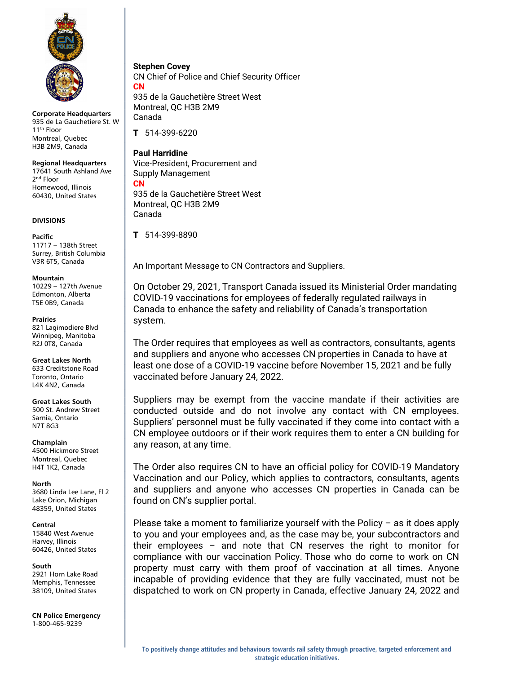

Corporate Headquarters 935 de La Gauchetiere St. W 11th Floor Montreal, Quebec H3B 2M9, Canada

Regional Headquarters 17641 South Ashland Ave 2<sup>nd</sup> Floor Homewood, Illinois 60430, United States

## DIVISIONS

Pacific 11717 – 138th Street Surrey, British Columbia V3R 6T5, Canada

Mountain

10229 – 127th Avenue Edmonton, Alberta T5E 0B9, Canada

Prairies 821 Lagimodiere Blvd Winnipeg, Manitoba R2J 0T8, Canada

Great Lakes North 633 Creditstone Road Toronto, Ontario L4K 4N2, Canada

Great Lakes South 500 St. Andrew Street Sarnia, Ontario N7T 8G3

**Champlain** 

4500 Hickmore Street Montreal, Quebec H4T 1K2, Canada

North 3680 Linda Lee Lane, Fl 2 Lake Orion, Michigan 48359, United States

Central

15840 West Avenue Harvey, Illinois 60426, United States

South

2921 Horn Lake Road Memphis, Tennessee 38109, United States

CN Police Emergency 1-800-465-9239

Stephen Covey CN Chief of Police and Chief Security Officer **CN** 935 de la Gauchetière Street West

Montreal, QC H3B 2M9 Canada

T 514-399-6220

Paul Harridine Vice-President, Procurement and Supply Management CN 935 de la Gauchetière Street West Montreal, QC H3B 2M9

T 514-399-8890

Canada

An Important Message to CN Contractors and Suppliers.

On October 29, 2021, Transport Canada issued its Ministerial Order mandating COVID-19 vaccinations for employees of federally regulated railways in Canada to enhance the safety and reliability of Canada's transportation system.

The Order requires that employees as well as contractors, consultants, agents and suppliers and anyone who accesses CN properties in Canada to have at least one dose of a COVID-19 vaccine before November 15, 2021 and be fully vaccinated before January 24, 2022.

Suppliers may be exempt from the vaccine mandate if their activities are conducted outside and do not involve any contact with CN employees. Suppliers' personnel must be fully vaccinated if they come into contact with a CN employee outdoors or if their work requires them to enter a CN building for any reason, at any time.

The Order also requires CN to have an official policy for COVID-19 Mandatory Vaccination and our Policy, which applies to contractors, consultants, agents and suppliers and anyone who accesses CN properties in Canada can be found on CN's supplier portal.

Please take a moment to familiarize yourself with the Policy – as it does apply to you and your employees and, as the case may be, your subcontractors and their employees – and note that CN reserves the right to monitor for compliance with our vaccination Policy. Those who do come to work on CN property must carry with them proof of vaccination at all times. Anyone incapable of providing evidence that they are fully vaccinated, must not be dispatched to work on CN property in Canada, effective January 24, 2022 and